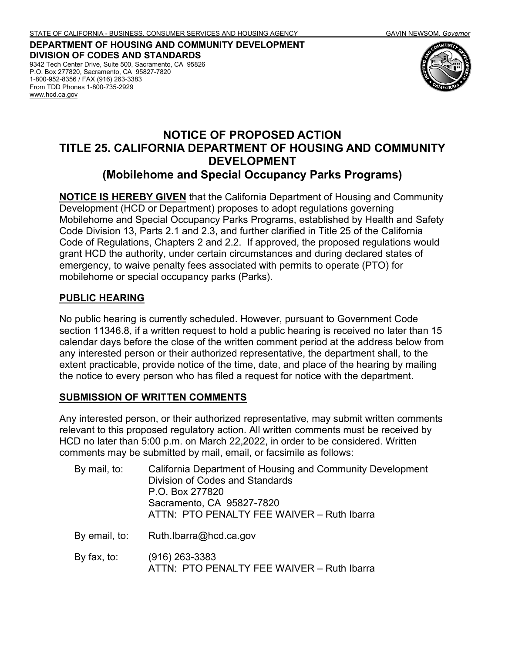**DEPARTMENT OF HOUSING AND COMMUNITY DEVELOPMENT DIVISION OF CODES AND STANDARDS** 9342 Tech Center Drive, Suite 500, Sacramento, CA 95826 P.O. Box 277820, Sacramento, CA 95827-7820

1-800-952-8356 / FAX (916) 263-3383 From TDD Phones 1-800-735-2929 [www.hcd.ca.gov](http://www.hcd.ca.gov/)



# **NOTICE OF PROPOSED ACTION TITLE 25. CALIFORNIA DEPARTMENT OF HOUSING AND COMMUNITY DEVELOPMENT (Mobilehome and Special Occupancy Parks Programs)**

**NOTICE IS HEREBY GIVEN** that the California Department of Housing and Community Development (HCD or Department) proposes to adopt regulations governing Mobilehome and Special Occupancy Parks Programs, established by Health and Safety Code Division 13, Parts 2.1 and 2.3, and further clarified in Title 25 of the California Code of Regulations, Chapters 2 and 2.2. If approved, the proposed regulations would grant HCD the authority, under certain circumstances and during declared states of emergency, to waive penalty fees associated with permits to operate (PTO) for mobilehome or special occupancy parks (Parks).

#### **PUBLIC HEARING**

No public hearing is currently scheduled. However, pursuant to Government Code section 11346.8, if a written request to hold a public hearing is received no later than 15 calendar days before the close of the written comment period at the address below from any interested person or their authorized representative, the department shall, to the extent practicable, provide notice of the time, date, and place of the hearing by mailing the notice to every person who has filed a request for notice with the department.

#### **SUBMISSION OF WRITTEN COMMENTS**

Any interested person, or their authorized representative, may submit written comments relevant to this proposed regulatory action. All written comments must be received by HCD no later than 5:00 p.m. on March 22,2022, in order to be considered. Written comments may be submitted by mail, email, or facsimile as follows:

| By mail, to:  | California Department of Housing and Community Development<br><b>Division of Codes and Standards</b><br>P.O. Box 277820<br>Sacramento, CA 95827-7820<br>ATTN: PTO PENALTY FEE WAIVER - Ruth Ibarra |
|---------------|----------------------------------------------------------------------------------------------------------------------------------------------------------------------------------------------------|
| By email, to: | Ruth.lbarra@hcd.ca.gov                                                                                                                                                                             |
| By fax, to:   | $(916)$ 263-3383<br>ATTN: PTO PENALTY FEE WAIVER - Ruth Ibarra                                                                                                                                     |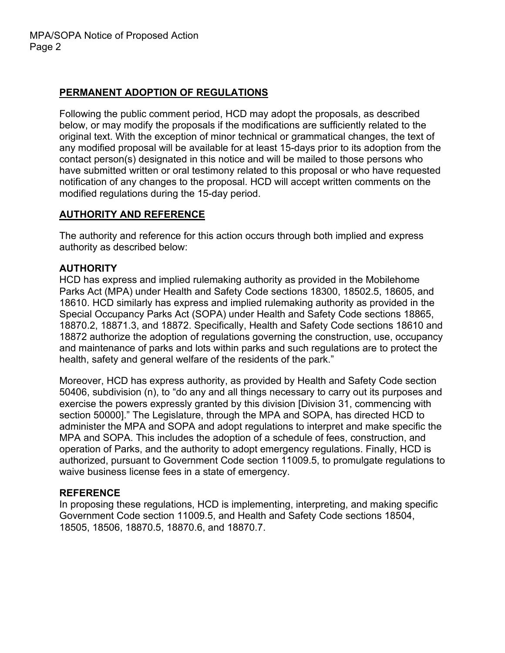## **PERMANENT ADOPTION OF REGULATIONS**

Following the public comment period, HCD may adopt the proposals, as described below, or may modify the proposals if the modifications are sufficiently related to the original text. With the exception of minor technical or grammatical changes, the text of any modified proposal will be available for at least 15-days prior to its adoption from the contact person(s) designated in this notice and will be mailed to those persons who have submitted written or oral testimony related to this proposal or who have requested notification of any changes to the proposal. HCD will accept written comments on the modified regulations during the 15-day period.

## **AUTHORITY AND REFERENCE**

The authority and reference for this action occurs through both implied and express authority as described below:

## **AUTHORITY**

HCD has express and implied rulemaking authority as provided in the Mobilehome Parks Act (MPA) under Health and Safety Code sections 18300, 18502.5, 18605, and 18610. HCD similarly has express and implied rulemaking authority as provided in the Special Occupancy Parks Act (SOPA) under Health and Safety Code sections 18865, 18870.2, 18871.3, and 18872. Specifically, Health and Safety Code sections 18610 and 18872 authorize the adoption of regulations governing the construction, use, occupancy and maintenance of parks and lots within parks and such regulations are to protect the health, safety and general welfare of the residents of the park."

Moreover, HCD has express authority, as provided by Health and Safety Code section 50406, subdivision (n), to "do any and all things necessary to carry out its purposes and exercise the powers expressly granted by this division [Division 31, commencing with section 50000]." The Legislature, through the MPA and SOPA, has directed HCD to administer the MPA and SOPA and adopt regulations to interpret and make specific the MPA and SOPA. This includes the adoption of a schedule of fees, construction, and operation of Parks, and the authority to adopt emergency regulations. Finally, HCD is authorized, pursuant to Government Code section 11009.5, to promulgate regulations to waive business license fees in a state of emergency.

### **REFERENCE**

In proposing these regulations, HCD is implementing, interpreting, and making specific Government Code section 11009.5, and Health and Safety Code sections 18504, 18505, 18506, 18870.5, 18870.6, and 18870.7.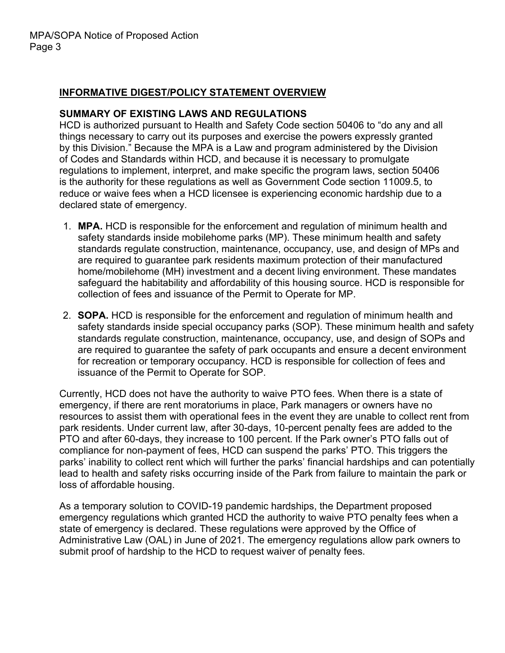### **INFORMATIVE DIGEST/POLICY STATEMENT OVERVIEW**

#### **SUMMARY OF EXISTING LAWS AND REGULATIONS**

HCD is authorized pursuant to Health and Safety Code section 50406 to "do any and all things necessary to carry out its purposes and exercise the powers expressly granted by this Division." Because the MPA is a Law and program administered by the Division of Codes and Standards within HCD, and because it is necessary to promulgate regulations to implement, interpret, and make specific the program laws, section 50406 is the authority for these regulations as well as Government Code section 11009.5, to reduce or waive fees when a HCD licensee is experiencing economic hardship due to a declared state of emergency.

- 1. **MPA.** HCD is responsible for the enforcement and regulation of minimum health and safety standards inside mobilehome parks (MP). These minimum health and safety standards regulate construction, maintenance, occupancy, use, and design of MPs and are required to guarantee park residents maximum protection of their manufactured home/mobilehome (MH) investment and a decent living environment. These mandates safeguard the habitability and affordability of this housing source. HCD is responsible for collection of fees and issuance of the Permit to Operate for MP.
- 2. **SOPA.** HCD is responsible for the enforcement and regulation of minimum health and safety standards inside special occupancy parks (SOP). These minimum health and safety standards regulate construction, maintenance, occupancy, use, and design of SOPs and are required to guarantee the safety of park occupants and ensure a decent environment for recreation or temporary occupancy. HCD is responsible for collection of fees and issuance of the Permit to Operate for SOP.

Currently, HCD does not have the authority to waive PTO fees. When there is a state of emergency, if there are rent moratoriums in place, Park managers or owners have no resources to assist them with operational fees in the event they are unable to collect rent from park residents. Under current law, after 30-days, 10-percent penalty fees are added to the PTO and after 60-days, they increase to 100 percent. If the Park owner's PTO falls out of compliance for non-payment of fees, HCD can suspend the parks' PTO. This triggers the parks' inability to collect rent which will further the parks' financial hardships and can potentially lead to health and safety risks occurring inside of the Park from failure to maintain the park or loss of affordable housing.

As a temporary solution to COVID-19 pandemic hardships, the Department proposed emergency regulations which granted HCD the authority to waive PTO penalty fees when a state of emergency is declared. These regulations were approved by the Office of Administrative Law (OAL) in June of 2021. The emergency regulations allow park owners to submit proof of hardship to the HCD to request waiver of penalty fees.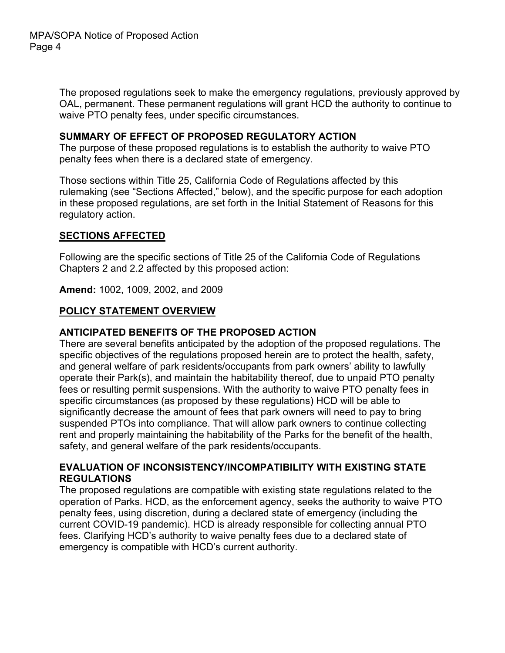The proposed regulations seek to make the emergency regulations, previously approved by OAL, permanent. These permanent regulations will grant HCD the authority to continue to waive PTO penalty fees, under specific circumstances.

#### **SUMMARY OF EFFECT OF PROPOSED REGULATORY ACTION**

The purpose of these proposed regulations is to establish the authority to waive PTO penalty fees when there is a declared state of emergency.

Those sections within Title 25, California Code of Regulations affected by this rulemaking (see "Sections Affected," below), and the specific purpose for each adoption in these proposed regulations, are set forth in the Initial Statement of Reasons for this regulatory action.

#### **SECTIONS AFFECTED**

Following are the specific sections of Title 25 of the California Code of Regulations Chapters 2 and 2.2 affected by this proposed action:

**Amend:** 1002, 1009, 2002, and 2009

### **POLICY STATEMENT OVERVIEW**

#### **ANTICIPATED BENEFITS OF THE PROPOSED ACTION**

There are several benefits anticipated by the adoption of the proposed regulations. The specific objectives of the regulations proposed herein are to protect the health, safety, and general welfare of park residents/occupants from park owners' ability to lawfully operate their Park(s), and maintain the habitability thereof, due to unpaid PTO penalty fees or resulting permit suspensions. With the authority to waive PTO penalty fees in specific circumstances (as proposed by these regulations) HCD will be able to significantly decrease the amount of fees that park owners will need to pay to bring suspended PTOs into compliance. That will allow park owners to continue collecting rent and properly maintaining the habitability of the Parks for the benefit of the health, safety, and general welfare of the park residents/occupants.

#### **EVALUATION OF INCONSISTENCY/INCOMPATIBILITY WITH EXISTING STATE REGULATIONS**

The proposed regulations are compatible with existing state regulations related to the operation of Parks. HCD, as the enforcement agency, seeks the authority to waive PTO penalty fees, using discretion, during a declared state of emergency (including the current COVID-19 pandemic). HCD is already responsible for collecting annual PTO fees. Clarifying HCD's authority to waive penalty fees due to a declared state of emergency is compatible with HCD's current authority.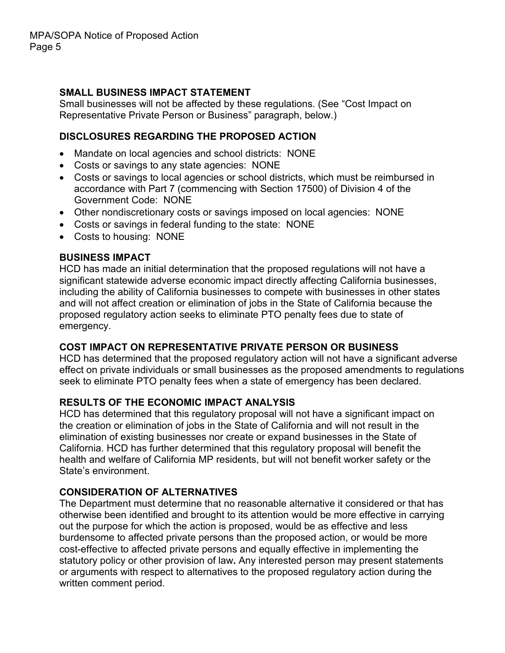## **SMALL BUSINESS IMPACT STATEMENT**

Small businesses will not be affected by these regulations. (See "Cost Impact on Representative Private Person or Business" paragraph, below.)

### **DISCLOSURES REGARDING THE PROPOSED ACTION**

- Mandate on local agencies and school districts: NONE
- Costs or savings to any state agencies: NONE
- Costs or savings to local agencies or school districts, which must be reimbursed in accordance with Part 7 (commencing with Section 17500) of Division 4 of the Government Code: NONE
- Other nondiscretionary costs or savings imposed on local agencies: NONE
- Costs or savings in federal funding to the state: NONE
- Costs to housing: NONE

#### **BUSINESS IMPACT**

HCD has made an initial determination that the proposed regulations will not have a significant statewide adverse economic impact directly affecting California businesses, including the ability of California businesses to compete with businesses in other states and will not affect creation or elimination of jobs in the State of California because the proposed regulatory action seeks to eliminate PTO penalty fees due to state of emergency.

### **COST IMPACT ON REPRESENTATIVE PRIVATE PERSON OR BUSINESS**

HCD has determined that the proposed regulatory action will not have a significant adverse effect on private individuals or small businesses as the proposed amendments to regulations seek to eliminate PTO penalty fees when a state of emergency has been declared.

### **RESULTS OF THE ECONOMIC IMPACT ANALYSIS**

HCD has determined that this regulatory proposal will not have a significant impact on the creation or elimination of jobs in the State of California and will not result in the elimination of existing businesses nor create or expand businesses in the State of California. HCD has further determined that this regulatory proposal will benefit the health and welfare of California MP residents, but will not benefit worker safety or the State's environment.

### **CONSIDERATION OF ALTERNATIVES**

The Department must determine that no reasonable alternative it considered or that has otherwise been identified and brought to its attention would be more effective in carrying out the purpose for which the action is proposed, would be as effective and less burdensome to affected private persons than the proposed action, or would be more cost-effective to affected private persons and equally effective in implementing the statutory policy or other provision of law**.** Any interested person may present statements or arguments with respect to alternatives to the proposed regulatory action during the written comment period.